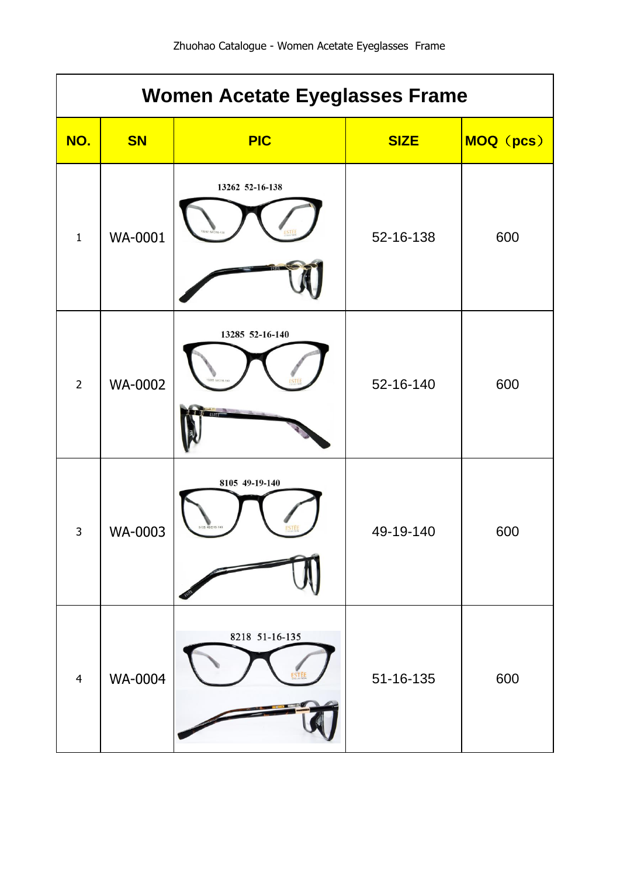| <b>Women Acetate Eyeglasses Frame</b> |                |                                   |             |           |
|---------------------------------------|----------------|-----------------------------------|-------------|-----------|
| NO.                                   | <b>SN</b>      | <b>PIC</b>                        | <b>SIZE</b> | MOQ (pcs) |
| $\mathbf{1}$                          | <b>WA-0001</b> | 13262 52-16-138                   | 52-16-138   | 600       |
| $\overline{2}$                        | <b>WA-0002</b> | 13285 52-16-140                   | 52-16-140   | 600       |
| $\overline{3}$                        | WA-0003        | 8105 49-19-140<br>8105 49 019-140 | 49-19-140   | 600       |
| $\overline{4}$                        | <b>WA-0004</b> | 8218 51-16-135<br>STE             | 51-16-135   | 600       |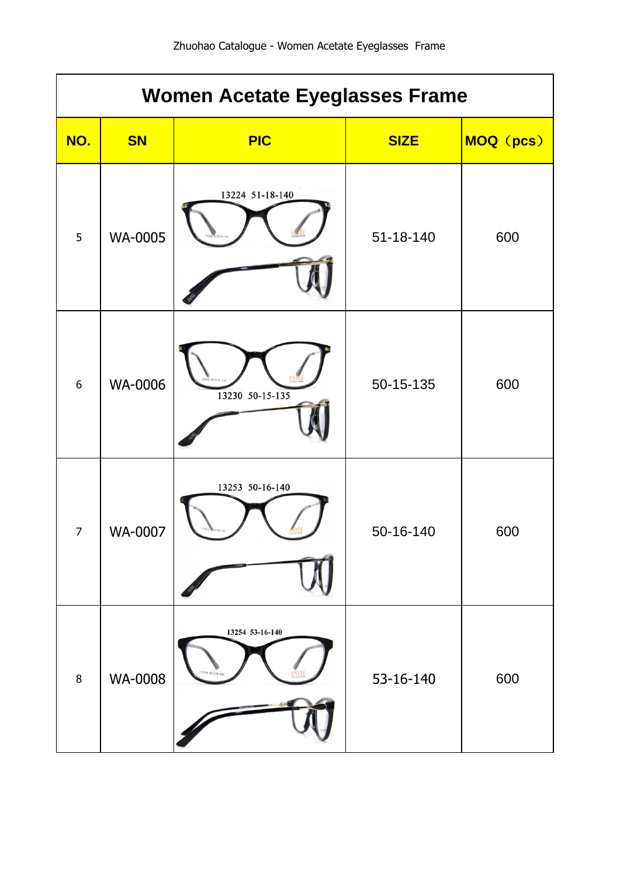| <b>Women Acetate Eyeglasses Frame</b> |                |                             |             |           |  |
|---------------------------------------|----------------|-----------------------------|-------------|-----------|--|
| NO.                                   | <b>SN</b>      | <b>PIC</b>                  | <b>SIZE</b> | MOQ (pcs) |  |
| $\overline{5}$                        | <b>WA-0005</b> | 13224 51-18-140             | 51-18-140   | 600       |  |
| $6\,$                                 | <b>WA-0006</b> | 13230 50-15-135             | 50-15-135   | 600       |  |
| $\overline{7}$                        | WA-0007        | 13253 50-16-140             | 50-16-140   | 600       |  |
| $\, 8$                                | <b>WA-0008</b> | 13254 53-16-140<br>53018.14 | 53-16-140   | 600       |  |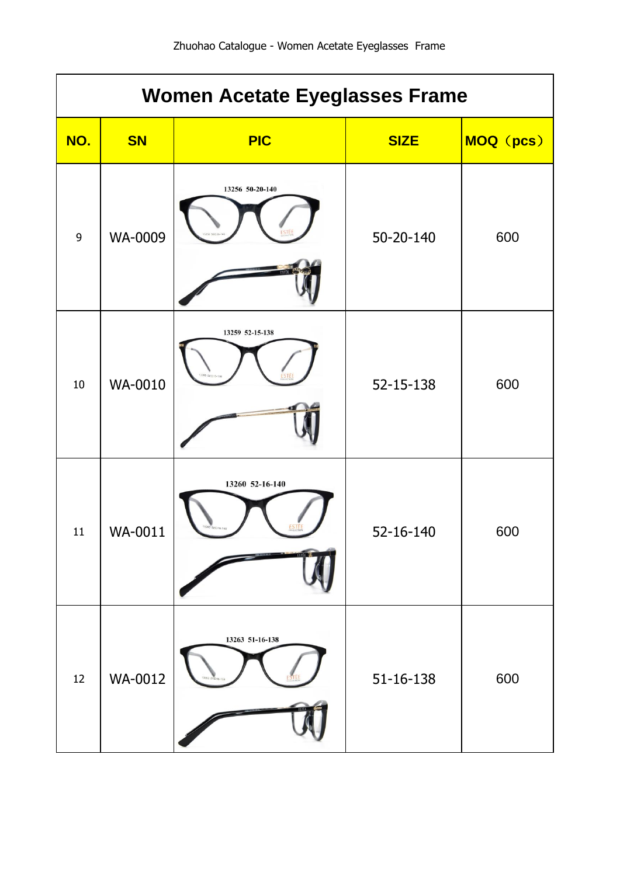| <b>Women Acetate Eyeglasses Frame</b> |                |                                              |             |           |  |
|---------------------------------------|----------------|----------------------------------------------|-------------|-----------|--|
| NO.                                   | <b>SN</b>      | <b>PIC</b>                                   | <b>SIZE</b> | MOQ (pcs) |  |
| $\overline{9}$                        | WA-0009        | 13256 50-20-140                              | 50-20-140   | 600       |  |
| $10\,$                                | <b>WA-0010</b> | 13259 52-15-138<br>269 52 015-134            | 52-15-138   | 600       |  |
| $11\,$                                | WA-0011        | 13260 52-16-140<br>13260 521316-140<br>ESTEE | 52-16-140   | 600       |  |
| $12\,$                                | WA-0012        | 13263 51-16-138                              | 51-16-138   | 600       |  |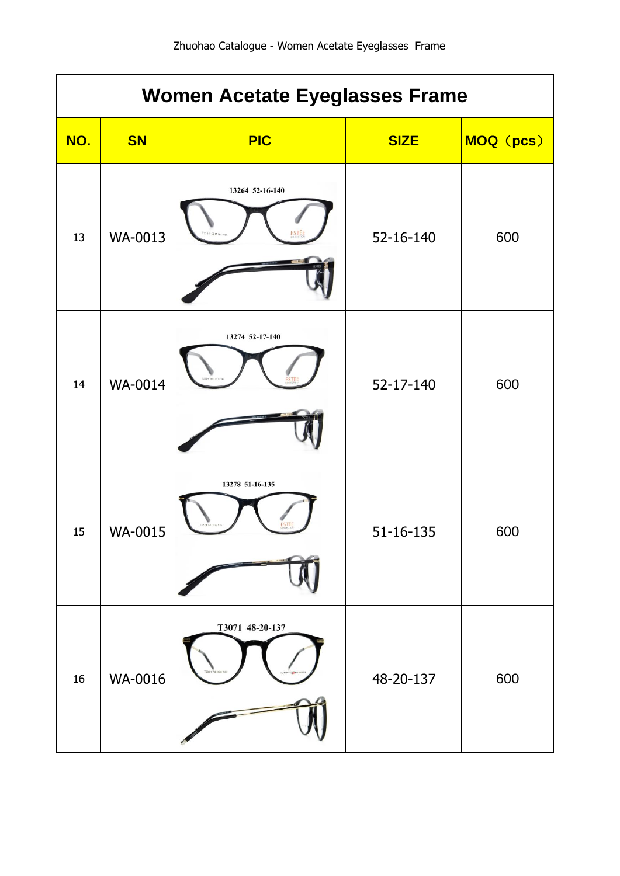|        | <b>Women Acetate Eyeglasses Frame</b> |                                   |                 |           |  |  |
|--------|---------------------------------------|-----------------------------------|-----------------|-----------|--|--|
| NO.    | <b>SN</b>                             | <b>PIC</b>                        | <b>SIZE</b>     | MOQ (pcs) |  |  |
| 13     | WA-0013                               | 13264 52-16-140                   | 52-16-140       | 600       |  |  |
| 14     | <b>WA-0014</b>                        | 13274 52-17-140                   | 52-17-140       | 600       |  |  |
| 15     | WA-0015                               | 13278 51-16-135<br><b>ESTEE</b>   | $51 - 16 - 135$ | 600       |  |  |
| $16\,$ | WA-0016                               | T3071 48-20-137<br>171 481120-137 | 48-20-137       | 600       |  |  |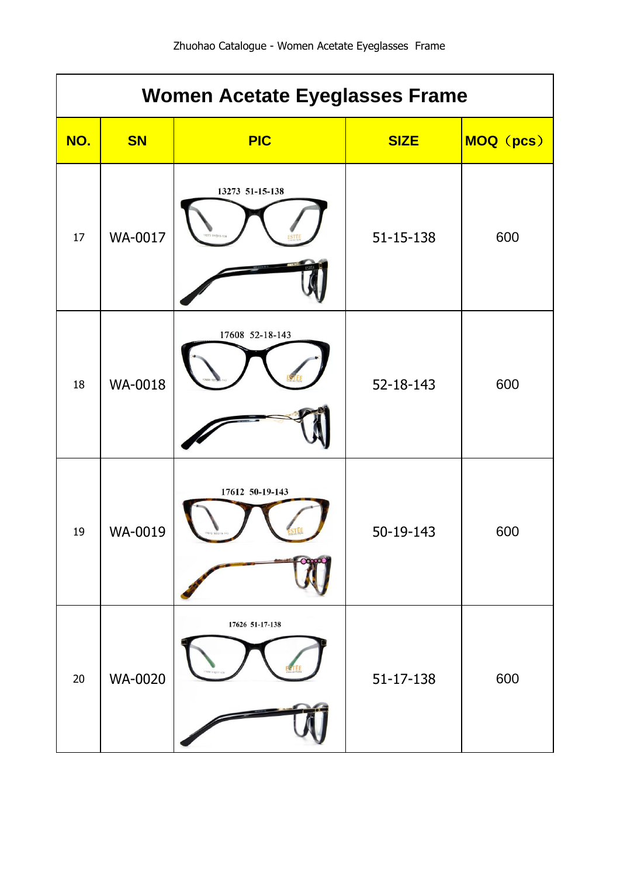| <b>Women Acetate Eyeglasses Frame</b> |                |                                  |             |           |  |
|---------------------------------------|----------------|----------------------------------|-------------|-----------|--|
| NO.                                   | <b>SN</b>      | <b>PIC</b>                       | <b>SIZE</b> | MOQ (pcs) |  |
| 17                                    | WA-0017        | 13273 51-15-138<br>3273 51 015-1 | 51-15-138   | 600       |  |
| 18                                    | <b>WA-0018</b> | 17608 52-18-143                  | 52-18-143   | 600       |  |
| 19                                    | WA-0019        | 17612 50-19-143                  | 50-19-143   | 600       |  |
| $20\,$                                | WA-0020        | 17626 51-17-138                  | 51-17-138   | 600       |  |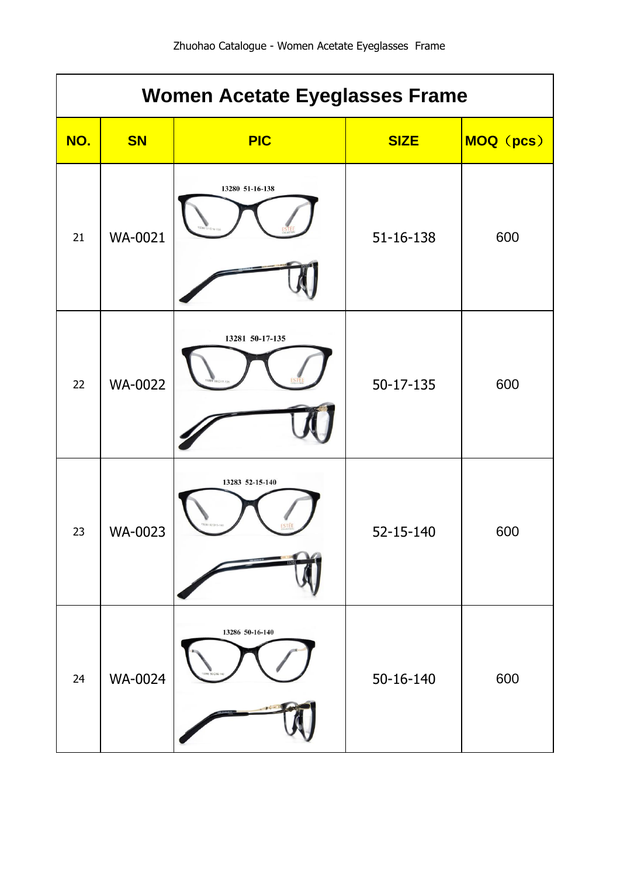| <b>Women Acetate Eyeglasses Frame</b> |                |                                   |                 |           |  |
|---------------------------------------|----------------|-----------------------------------|-----------------|-----------|--|
| NO.                                   | <b>SN</b>      | <b>PIC</b>                        | <b>SIZE</b>     | MOQ (pcs) |  |
| 21                                    | WA-0021        | 13280 51-16-138                   | 51-16-138       | 600       |  |
| 22                                    | <b>WA-0022</b> | 13281 50-17-135                   | 50-17-135       | 600       |  |
| 23                                    | WA-0023        | 13283 52-15-140<br>3283.52135-140 | 52-15-140       | 600       |  |
| 24                                    | WA-0024        | 13286 50-16-140                   | $50 - 16 - 140$ | 600       |  |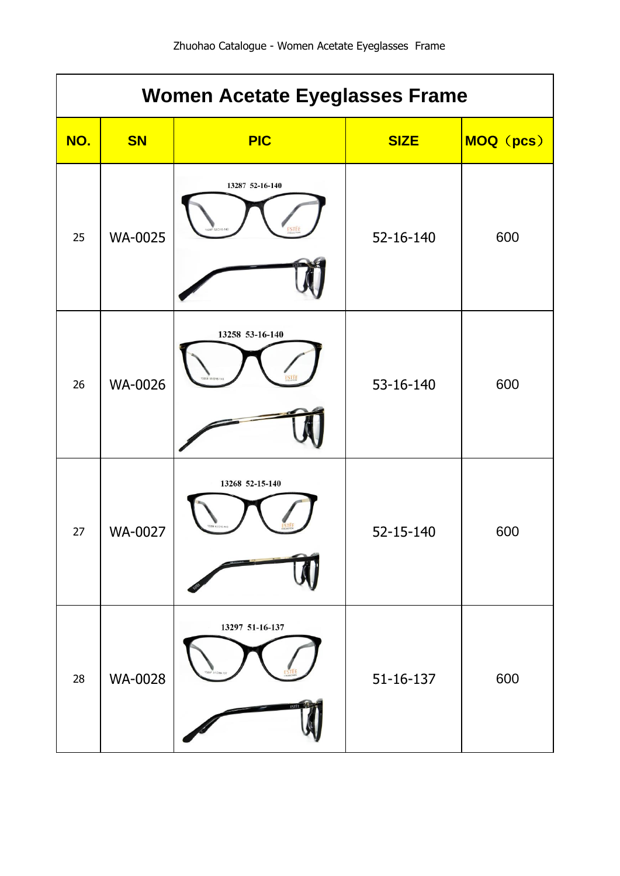| <b>Women Acetate Eyeglasses Frame</b> |           |                                    |             |           |  |
|---------------------------------------|-----------|------------------------------------|-------------|-----------|--|
| NO.                                   | <b>SN</b> | <b>PIC</b>                         | <b>SIZE</b> | MOQ (pcs) |  |
| 25                                    | WA-0025   | 13287 52-16-140<br>3287 521316-140 | 52-16-140   | 600       |  |
| 26                                    | WA-0026   | 13258 53-16-140                    | 53-16-140   | 600       |  |
| 27                                    | WA-0027   | 13268 52-15-140                    | 52-15-140   | 600       |  |
| 28                                    | WA-0028   | 13297 51-16-137<br>3297 51 016-137 | 51-16-137   | 600       |  |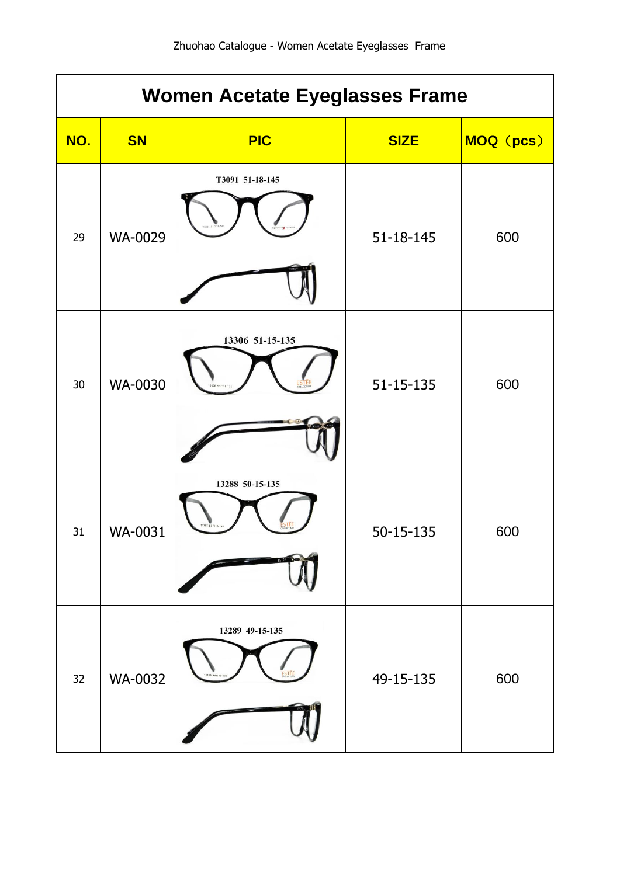| <b>Women Acetate Eyeglasses Frame</b> |           |                                                    |             |           |  |
|---------------------------------------|-----------|----------------------------------------------------|-------------|-----------|--|
| NO.                                   | <b>SN</b> | <b>PIC</b>                                         | <b>SIZE</b> | MOQ (pcs) |  |
| 29                                    | WA-0029   | T3091 51-18-145                                    | 51-18-145   | 600       |  |
| 30                                    | WA-0030   | 13306 51-15-135                                    | 51-15-135   | 600       |  |
| 31                                    | WA-0031   | 13288 50-15-135<br>13288 50 015-135<br><b>STEE</b> | 50-15-135   | 600       |  |
| 32                                    | WA-0032   | 13289 49-15-135<br>13289 491315-12                 | 49-15-135   | 600       |  |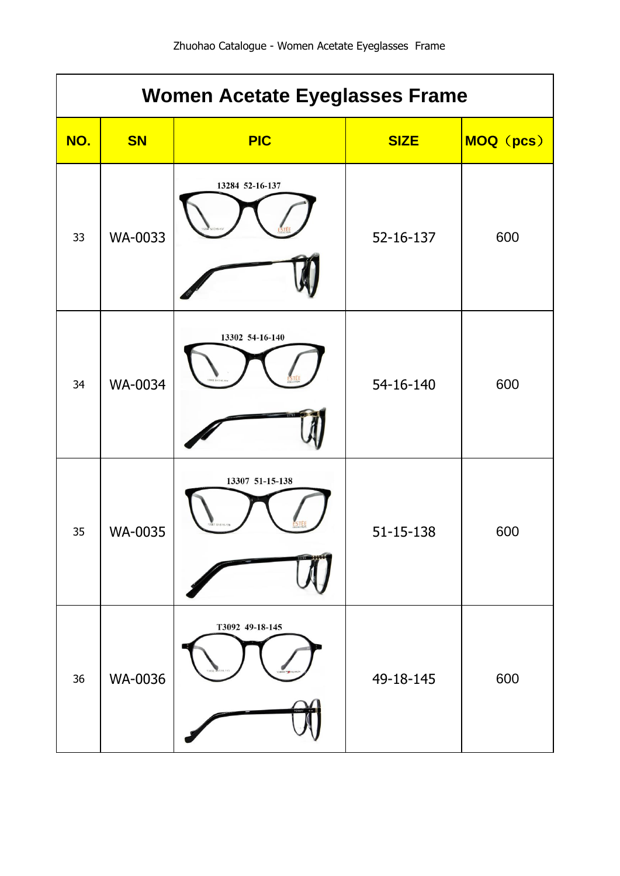| <b>Women Acetate Eyeglasses Frame</b> |           |                                    |             |           |  |
|---------------------------------------|-----------|------------------------------------|-------------|-----------|--|
| NO.                                   | <b>SN</b> | <b>PIC</b>                         | <b>SIZE</b> | MOQ (pcs) |  |
| 33                                    | WA-0033   | 13284 52-16-137                    | 52-16-137   | 600       |  |
| 34                                    | WA-0034   | 13302 54-16-140                    | 54-16-140   | 600       |  |
| 35                                    | WA-0035   | 13307 51-15-138<br>3307 511315-138 | 51-15-138   | 600       |  |
| 36                                    | WA-0036   | T3092 49-18-145                    | 49-18-145   | 600       |  |